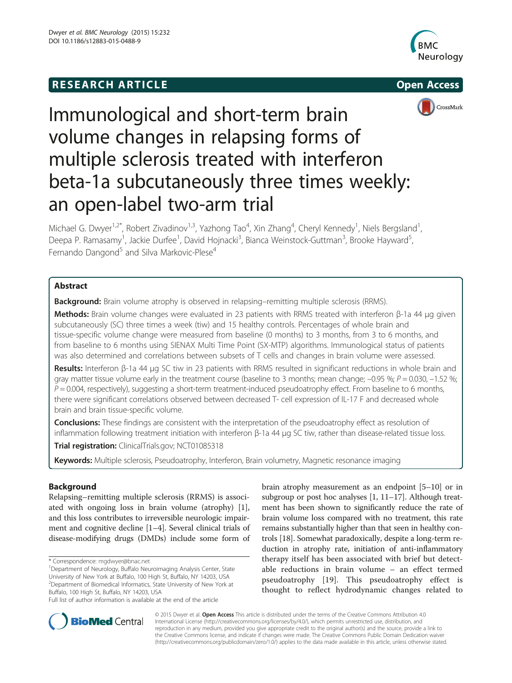## **RESEARCH ARTICLE Example 2014 The SEAR CH ACCESS**







# Immunological and short-term brain volume changes in relapsing forms of multiple sclerosis treated with interferon beta-1a subcutaneously three times weekly: an open-label two-arm trial

Michael G. Dwyer<sup>1,2\*</sup>, Robert Zivadinov<sup>1,3</sup>, Yazhong Tao<sup>4</sup>, Xin Zhang<sup>4</sup>, Cheryl Kennedy<sup>1</sup>, Niels Bergsland<sup>1</sup> , Deepa P. Ramasamy<sup>1</sup>, Jackie Durfee<sup>1</sup>, David Hojnacki<sup>3</sup>, Bianca Weinstock-Guttman<sup>3</sup>, Brooke Hayward<sup>5</sup> , Fernando Dangond<sup>5</sup> and Silva Markovic-Plese<sup>4</sup>

## Abstract

**Background:** Brain volume atrophy is observed in relapsing–remitting multiple sclerosis (RRMS).

Methods: Brain volume changes were evaluated in 23 patients with RRMS treated with interferon β-1a 44 μg given subcutaneously (SC) three times a week (tiw) and 15 healthy controls. Percentages of whole brain and tissue-specific volume change were measured from baseline (0 months) to 3 months, from 3 to 6 months, and from baseline to 6 months using SIENAX Multi Time Point (SX-MTP) algorithms. Immunological status of patients was also determined and correlations between subsets of T cells and changes in brain volume were assessed.

Results: Interferon β-1a 44 μg SC tiw in 23 patients with RRMS resulted in significant reductions in whole brain and gray matter tissue volume early in the treatment course (baseline to 3 months; mean change;  $-0.95\%$ ;  $P = 0.030$ ,  $-1.52\%$ ;  $P = 0.004$ , respectively), suggesting a short-term treatment-induced pseudoatrophy effect. From baseline to 6 months, there were significant correlations observed between decreased T- cell expression of IL-17 F and decreased whole brain and brain tissue-specific volume.

**Conclusions:** These findings are consistent with the interpretation of the pseudoatrophy effect as resolution of inflammation following treatment initiation with interferon β-1a 44 μg SC tiw, rather than disease-related tissue loss.

Trial registration: ClinicalTrials.gov; [NCT01085318](https://clinicaltrials.gov/ct2/show/NCT01085318?term=NCT01085318)

Keywords: Multiple sclerosis, Pseudoatrophy, Interferon, Brain volumetry, Magnetic resonance imaging

## Background

Relapsing–remitting multiple sclerosis (RRMS) is associated with ongoing loss in brain volume (atrophy) [\[1](#page-9-0)], and this loss contributes to irreversible neurologic impairment and cognitive decline [[1](#page-9-0)–[4](#page-9-0)]. Several clinical trials of disease-modifying drugs (DMDs) include some form of brain atrophy measurement as an endpoint [[5](#page-9-0)–[10](#page-9-0)] or in subgroup or post hoc analyses [\[1, 11](#page-9-0)–[17\]](#page-9-0). Although treatment has been shown to significantly reduce the rate of brain volume loss compared with no treatment, this rate remains substantially higher than that seen in healthy controls [\[18\]](#page-9-0). Somewhat paradoxically, despite a long-term reduction in atrophy rate, initiation of anti-inflammatory therapy itself has been associated with brief but detectable reductions in brain volume – an effect termed pseudoatrophy [\[19](#page-9-0)]. This pseudoatrophy effect is thought to reflect hydrodynamic changes related to



© 2015 Dwyer et al. Open Access This article is distributed under the terms of the Creative Commons Attribution 4.0 International License [\(http://creativecommons.org/licenses/by/4.0/](http://creativecommons.org/licenses/by/4.0/)), which permits unrestricted use, distribution, and reproduction in any medium, provided you give appropriate credit to the original author(s) and the source, provide a link to the Creative Commons license, and indicate if changes were made. The Creative Commons Public Domain Dedication waiver [\(http://creativecommons.org/publicdomain/zero/1.0/](http://creativecommons.org/publicdomain/zero/1.0/)) applies to the data made available in this article, unless otherwise stated.

<sup>\*</sup> Correspondence: [mgdwyer@bnac.net](mailto:mgdwyer@bnac.net) <sup>1</sup>

<sup>&</sup>lt;sup>1</sup>Department of Neurology, Buffalo Neuroimaging Analysis Center, State University of New York at Buffalo, 100 High St, Buffalo, NY 14203, USA <sup>2</sup> Department of Biomedical Informatics, State University of New York at Buffalo, 100 High St, Buffalo, NY 14203, USA

Full list of author information is available at the end of the article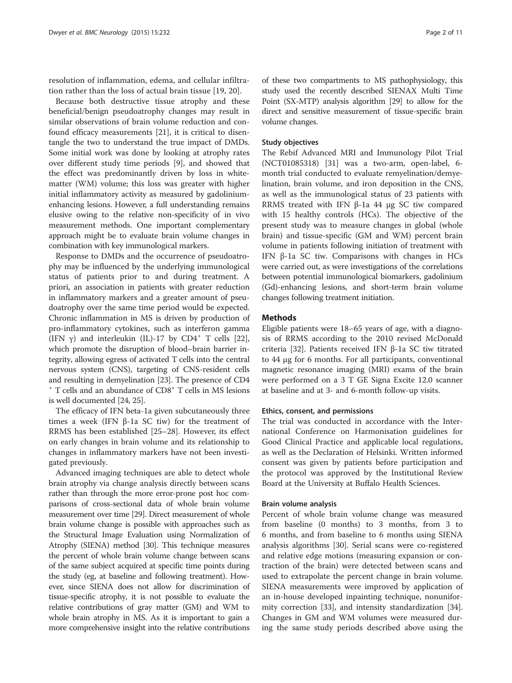resolution of inflammation, edema, and cellular infiltration rather than the loss of actual brain tissue [[19](#page-9-0), [20\]](#page-9-0).

Because both destructive tissue atrophy and these beneficial/benign pseudoatrophy changes may result in similar observations of brain volume reduction and confound efficacy measurements [\[21](#page-9-0)], it is critical to disentangle the two to understand the true impact of DMDs. Some initial work was done by looking at atrophy rates over different study time periods [[9\]](#page-9-0), and showed that the effect was predominantly driven by loss in whitematter (WM) volume; this loss was greater with higher initial inflammatory activity as measured by gadoliniumenhancing lesions. However, a full understanding remains elusive owing to the relative non-specificity of in vivo measurement methods. One important complementary approach might be to evaluate brain volume changes in combination with key immunological markers.

Response to DMDs and the occurrence of pseudoatrophy may be influenced by the underlying immunological status of patients prior to and during treatment. A priori, an association in patients with greater reduction in inflammatory markers and a greater amount of pseudoatrophy over the same time period would be expected. Chronic inflammation in MS is driven by production of pro-inflammatory cytokines, such as interferon gamma (IFN  $\gamma$ ) and interleukin (IL)-17 by CD4<sup>+</sup> T cells [\[22](#page-9-0)], which promote the disruption of blood–brain barrier integrity, allowing egress of activated T cells into the central nervous system (CNS), targeting of CNS-resident cells and resulting in demyelination [\[23\]](#page-9-0). The presence of CD4 <sup>+</sup> T cells and an abundance of CD8+ T cells in MS lesions is well documented [[24](#page-9-0), [25\]](#page-9-0).

The efficacy of IFN beta-1a given subcutaneously three times a week (IFN β-1a SC tiw) for the treatment of RRMS has been established [[25](#page-9-0)–[28](#page-9-0)]. However, its effect on early changes in brain volume and its relationship to changes in inflammatory markers have not been investigated previously.

Advanced imaging techniques are able to detect whole brain atrophy via change analysis directly between scans rather than through the more error-prone post hoc comparisons of cross-sectional data of whole brain volume measurement over time [\[29\]](#page-9-0). Direct measurement of whole brain volume change is possible with approaches such as the Structural Image Evaluation using Normalization of Atrophy (SIENA) method [[30](#page-9-0)]. This technique measures the percent of whole brain volume change between scans of the same subject acquired at specific time points during the study (eg, at baseline and following treatment). However, since SIENA does not allow for discrimination of tissue-specific atrophy, it is not possible to evaluate the relative contributions of gray matter (GM) and WM to whole brain atrophy in MS. As it is important to gain a more comprehensive insight into the relative contributions

of these two compartments to MS pathophysiology, this study used the recently described SIENAX Multi Time Point (SX-MTP) analysis algorithm [\[29](#page-9-0)] to allow for the direct and sensitive measurement of tissue-specific brain volume changes.

## Study objectives

The Rebif Advanced MRI and Immunology Pilot Trial (NCT01085318) [\[31](#page-9-0)] was a two-arm, open-label, 6 month trial conducted to evaluate remyelination/demyelination, brain volume, and iron deposition in the CNS, as well as the immunological status of 23 patients with RRMS treated with IFN β-1a 44 μg SC tiw compared with 15 healthy controls (HCs). The objective of the present study was to measure changes in global (whole brain) and tissue-specific (GM and WM) percent brain volume in patients following initiation of treatment with IFN β-1a SC tiw. Comparisons with changes in HCs were carried out, as were investigations of the correlations between potential immunological biomarkers, gadolinium (Gd)-enhancing lesions, and short-term brain volume changes following treatment initiation.

## **Methods**

Eligible patients were 18–65 years of age, with a diagnosis of RRMS according to the 2010 revised McDonald criteria [[32\]](#page-9-0). Patients received IFN β-1a SC tiw titrated to 44 μg for 6 months. For all participants, conventional magnetic resonance imaging (MRI) exams of the brain were performed on a 3 T GE Signa Excite 12.0 scanner at baseline and at 3- and 6-month follow-up visits.

## Ethics, consent, and permissions

The trial was conducted in accordance with the International Conference on Harmonisation guidelines for Good Clinical Practice and applicable local regulations, as well as the Declaration of Helsinki. Written informed consent was given by patients before participation and the protocol was approved by the Institutional Review Board at the University at Buffalo Health Sciences.

## Brain volume analysis

Percent of whole brain volume change was measured from baseline (0 months) to 3 months, from 3 to 6 months, and from baseline to 6 months using SIENA analysis algorithms [[30](#page-9-0)]. Serial scans were co-registered and relative edge motions (measuring expansion or contraction of the brain) were detected between scans and used to extrapolate the percent change in brain volume. SIENA measurements were improved by application of an in-house developed inpainting technique, nonuniformity correction [\[33](#page-9-0)], and intensity standardization [\[34](#page-9-0)]. Changes in GM and WM volumes were measured during the same study periods described above using the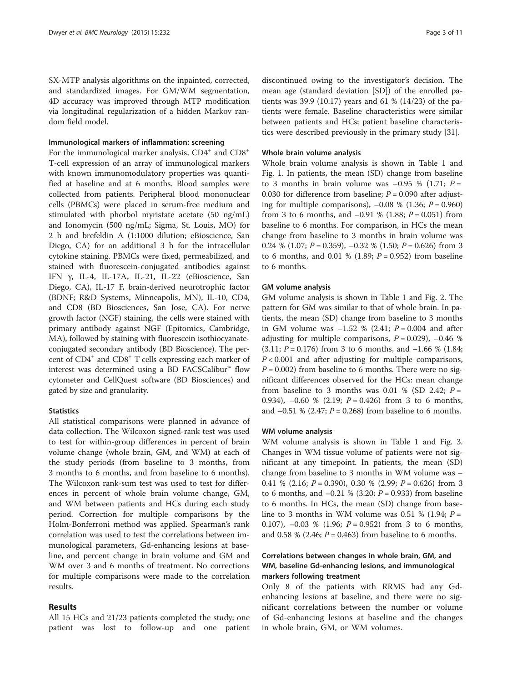SX-MTP analysis algorithms on the inpainted, corrected, and standardized images. For GM/WM segmentation, 4D accuracy was improved through MTP modification via longitudinal regularization of a hidden Markov random field model.

## Immunological markers of inflammation: screening

For the immunological marker analysis,  $CD4^+$  and  $CD8^+$ T-cell expression of an array of immunological markers with known immunomodulatory properties was quantified at baseline and at 6 months. Blood samples were collected from patients. Peripheral blood mononuclear cells (PBMCs) were placed in serum-free medium and stimulated with phorbol myristate acetate (50 ng/mL) and Ionomycin (500 ng/mL; Sigma, St. Louis, MO) for 2 h and brefeldin A (1:1000 dilution; eBioscience, San Diego, CA) for an additional 3 h for the intracellular cytokine staining. PBMCs were fixed, permeabilized, and stained with fluorescein-conjugated antibodies against IFN γ, IL-4, IL-17A, IL-21, IL-22 (eBioscience, San Diego, CA), IL-17 F, brain-derived neurotrophic factor (BDNF; R&D Systems, Minneapolis, MN), IL-10, CD4, and CD8 (BD Biosciences, San Jose, CA). For nerve growth factor (NGF) staining, the cells were stained with primary antibody against NGF (Epitomics, Cambridge, MA), followed by staining with fluorescein isothiocyanateconjugated secondary antibody (BD Bioscience). The percent of CD4+ and CD8+ T cells expressing each marker of interest was determined using a BD FACSCalibur™ flow cytometer and CellQuest software (BD Biosciences) and gated by size and granularity.

## **Statistics**

All statistical comparisons were planned in advance of data collection. The Wilcoxon signed-rank test was used to test for within-group differences in percent of brain volume change (whole brain, GM, and WM) at each of the study periods (from baseline to 3 months, from 3 months to 6 months, and from baseline to 6 months). The Wilcoxon rank-sum test was used to test for differences in percent of whole brain volume change, GM, and WM between patients and HCs during each study period. Correction for multiple comparisons by the Holm-Bonferroni method was applied. Spearman's rank correlation was used to test the correlations between immunological parameters, Gd-enhancing lesions at baseline, and percent change in brain volume and GM and WM over 3 and 6 months of treatment. No corrections for multiple comparisons were made to the correlation results.

## Results

All 15 HCs and 21/23 patients completed the study; one patient was lost to follow-up and one patient

discontinued owing to the investigator's decision. The mean age (standard deviation [SD]) of the enrolled patients was 39.9 (10.17) years and 61 % (14/23) of the patients were female. Baseline characteristics were similar between patients and HCs; patient baseline characteristics were described previously in the primary study [[31\]](#page-9-0).

## Whole brain volume analysis

Whole brain volume analysis is shown in Table [1](#page-3-0) and Fig. [1.](#page-4-0) In patients, the mean (SD) change from baseline to 3 months in brain volume was  $-0.95$  % (1.71;  $P =$ 0.030 for difference from baseline;  $P = 0.090$  after adjusting for multiple comparisons),  $-0.08\%$  (1.36;  $P = 0.960$ ) from 3 to 6 months, and  $-0.91$  % (1.88;  $P = 0.051$ ) from baseline to 6 months. For comparison, in HCs the mean change from baseline to 3 months in brain volume was 0.24 % (1.07;  $P = 0.359$ ),  $-0.32$  % (1.50;  $P = 0.626$ ) from 3 to 6 months, and 0.01 % (1.89;  $P = 0.952$ ) from baseline to 6 months.

## GM volume analysis

GM volume analysis is shown in Table [1](#page-3-0) and Fig. [2](#page-4-0). The pattern for GM was similar to that of whole brain. In patients, the mean (SD) change from baseline to 3 months in GM volume was  $-1.52 \% (2.41; P = 0.004$  and after adjusting for multiple comparisons,  $P = 0.029$ ,  $-0.46$  %  $(3.11; P = 0.176)$  from 3 to 6 months, and  $-1.66$  % (1.84;  $P < 0.001$  and after adjusting for multiple comparisons,  $P = 0.002$ ) from baseline to 6 months. There were no significant differences observed for the HCs: mean change from baseline to 3 months was 0.01 % (SD 2.42;  $P =$ 0.934),  $-0.60\%$  (2.19;  $P = 0.426$ ) from 3 to 6 months, and  $-0.51$  % (2.47;  $P = 0.268$ ) from baseline to 6 months.

#### WM volume analysis

WM volume analysis is shown in Table [1](#page-3-0) and Fig. [3](#page-5-0). Changes in WM tissue volume of patients were not significant at any timepoint. In patients, the mean (SD) change from baseline to 3 months in WM volume was – 0.41 % (2.16;  $P = 0.390$ ), 0.30 % (2.99;  $P = 0.626$ ) from 3 to 6 months, and  $-0.21$  % (3.20;  $P = 0.933$ ) from baseline to 6 months. In HCs, the mean (SD) change from baseline to 3 months in WM volume was 0.51 % (1.94;  $P =$ 0.107),  $-0.03$  % (1.96;  $P = 0.952$ ) from 3 to 6 months, and 0.58 % (2.46;  $P = 0.463$ ) from baseline to 6 months.

## Correlations between changes in whole brain, GM, and WM, baseline Gd-enhancing lesions, and immunological markers following treatment

Only 8 of the patients with RRMS had any Gdenhancing lesions at baseline, and there were no significant correlations between the number or volume of Gd-enhancing lesions at baseline and the changes in whole brain, GM, or WM volumes.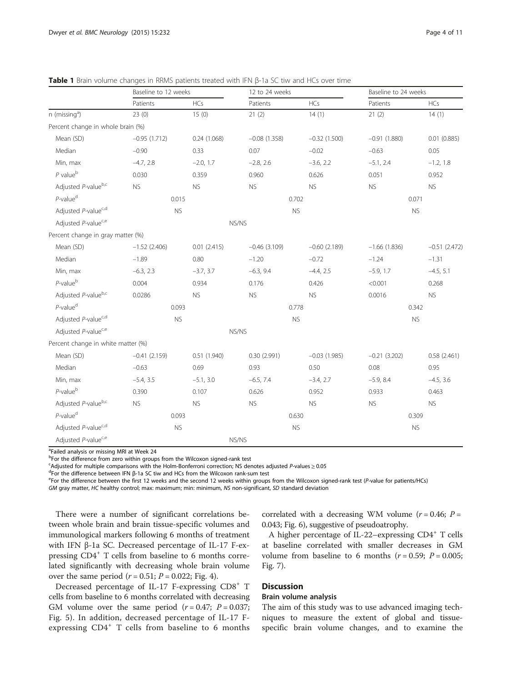|                                    | Baseline to 12 weeks |             | 12 to 24 weeks |                | Baseline to 24 weeks |                  |  |
|------------------------------------|----------------------|-------------|----------------|----------------|----------------------|------------------|--|
|                                    | Patients             | HCs         | Patients       | <b>HCs</b>     | Patients             | <b>HCs</b>       |  |
| $n$ (missing <sup>a</sup> )        | 23(0)                | 15(0)       | 21(2)          | 14(1)          | 21(2)                | 14(1)            |  |
| Percent change in whole brain (%)  |                      |             |                |                |                      |                  |  |
| Mean (SD)                          | $-0.95(1.712)$       | 0.24(1.068) | $-0.08(1.358)$ | $-0.32(1.500)$ | $-0.91(1.880)$       | $0.01$ $(0.885)$ |  |
| Median                             | $-0.90$              | 0.33        | 0.07           | $-0.02$        | $-0.63$              | 0.05             |  |
| Min, max                           | $-4.7, 2.8$          | $-2.0, 1.7$ | $-2.8, 2.6$    | $-3.6, 2.2$    | $-5.1, 2.4$          | $-1.2, 1.8$      |  |
| $P$ value $b$                      | 0.030                | 0.359       | 0.960          | 0.626          | 0.051                | 0.952            |  |
| Adjusted P-valueb,c                | <b>NS</b>            | <b>NS</b>   | <b>NS</b>      | <b>NS</b>      | <b>NS</b>            | <b>NS</b>        |  |
| $P$ -value <sup>d</sup>            | 0.015                |             | 0.702          |                | 0.071                |                  |  |
| Adjusted P-value <sup>c,d</sup>    | ${\sf NS}$           |             | <b>NS</b>      |                | <b>NS</b>            |                  |  |
| Adjusted P-value <sup>c,e</sup>    | NS/NS                |             |                |                |                      |                  |  |
| Percent change in gray matter (%)  |                      |             |                |                |                      |                  |  |
| Mean (SD)                          | $-1.52(2.406)$       | 0.01(2.415) | $-0.46(3.109)$ | $-0.60(2.189)$ | $-1.66(1.836)$       | $-0.51(2.472)$   |  |
| Median                             | $-1.89$              | 0.80        | $-1.20$        | $-0.72$        | $-1.24$              | $-1.31$          |  |
| Min, max                           | $-6.3, 2.3$          | $-3.7, 3.7$ | $-6.3, 9.4$    | $-4.4, 2.5$    | $-5.9, 1.7$          | $-4.5, 5.1$      |  |
| $P$ -value $b$                     | 0.004                | 0.934       | 0.176          | 0.426          | < 0.001              | 0.268            |  |
| Adjusted P-valueb,c                | 0.0286               | <b>NS</b>   | <b>NS</b>      | ${\sf NS}$     | 0.0016               | ${\sf NS}$       |  |
| $P$ -value <sup>d</sup>            | 0.093                |             | 0.778          |                | 0.342                |                  |  |
| Adjusted P-value <sup>c,d</sup>    | <b>NS</b>            |             | <b>NS</b>      |                | <b>NS</b>            |                  |  |
| Adjusted P-value <sup>c,e</sup>    |                      |             | NS/NS          |                |                      |                  |  |
| Percent change in white matter (%) |                      |             |                |                |                      |                  |  |
| Mean (SD)                          | $-0.41(2.159)$       | 0.51(1.940) | 0.30(2.991)    | $-0.03(1.985)$ | $-0.21(3.202)$       | 0.58(2.461)      |  |
| Median                             | $-0.63$              | 0.69        | 0.93           | 0.50           | 0.08                 | 0.95             |  |
| Min, max                           | $-5.4, 3.5$          | $-5.1, 3.0$ | $-6.5, 7.4$    | $-3.4, 2.7$    | $-5.9, 8.4$          | $-4.5, 3.6$      |  |
| $P$ -value $b$                     | 0.390                | 0.107       | 0.626          | 0.952          | 0.933                | 0.463            |  |
| Adjusted P-valueb,c                | <b>NS</b>            | <b>NS</b>   | <b>NS</b>      | <b>NS</b>      | <b>NS</b>            | <b>NS</b>        |  |
| $P$ -value <sup>d</sup>            | 0.093                |             | 0.630          |                | 0.309                |                  |  |
| Adjusted P-value <sup>c,d</sup>    | <b>NS</b>            |             |                | <b>NS</b>      |                      | <b>NS</b>        |  |
| Adjusted P-value <sup>c,e</sup>    | NS/NS                |             |                |                |                      |                  |  |

<span id="page-3-0"></span>

| <b>Table 1</b> Brain volume changes in RRMS patients treated with IFN $\beta$ -1a SC tiw and HCs over time |  |  |
|------------------------------------------------------------------------------------------------------------|--|--|
|------------------------------------------------------------------------------------------------------------|--|--|

<sup>a</sup>Failed analysis or missing MRI at Week 24

<sup>b</sup>For the difference from zero within groups from the Wilcoxon signed-rank test

<sup>c</sup>Adjusted for multiple comparisons with the Holm-Bonferroni correction; NS denotes adjusted *P*-values ≥ 0.05<br><sup>dE</sup>rer the difference between JEN 8-1a SC tiw and HCs from the Wilcoxon rank-sum test

 ${}^{d}$ For the difference between IFN β-1a SC tiw and HCs from the Wilcoxon rank-sum test

 $e^{\epsilon}$ For the difference between the first 12 weeks and the second 12 weeks within groups from the Wilcoxon signed-rank test (P-value for patients/HCs)

GM gray matter, HC healthy control; max: maximum; min: minimum, NS non-significant, SD standard deviation

There were a number of significant correlations between whole brain and brain tissue-specific volumes and immunological markers following 6 months of treatment with IFN β-1a SC. Decreased percentage of IL-17 F-expressing CD4<sup>+</sup> T cells from baseline to 6 months correlated significantly with decreasing whole brain volume over the same period ( $r = 0.51$ ;  $P = 0.022$ ; Fig. [4\)](#page-5-0).

Decreased percentage of IL-17 F-expressing CD8<sup>+</sup> T cells from baseline to 6 months correlated with decreasing GM volume over the same period  $(r = 0.47; P = 0.037;$ Fig. [5](#page-6-0)). In addition, decreased percentage of IL-17 Fexpressing CD4<sup>+</sup> T cells from baseline to 6 months

correlated with a decreasing WM volume ( $r = 0.46$ ;  $P =$ 0.043; Fig. [6](#page-6-0)), suggestive of pseudoatrophy.

A higher percentage of IL-22–expressing CD4<sup>+</sup> T cells at baseline correlated with smaller decreases in GM volume from baseline to 6 months ( $r = 0.59$ ;  $P = 0.005$ ; Fig. [7](#page-7-0)).

## **Discussion**

## Brain volume analysis

The aim of this study was to use advanced imaging techniques to measure the extent of global and tissuespecific brain volume changes, and to examine the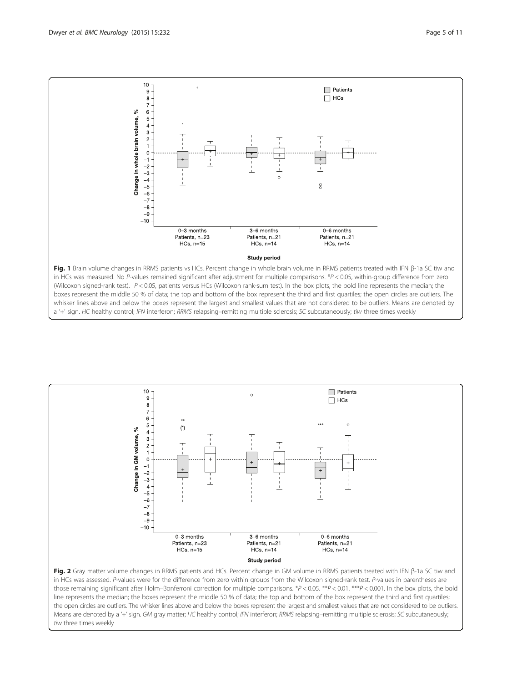

<span id="page-4-0"></span>



## tiw three times weekly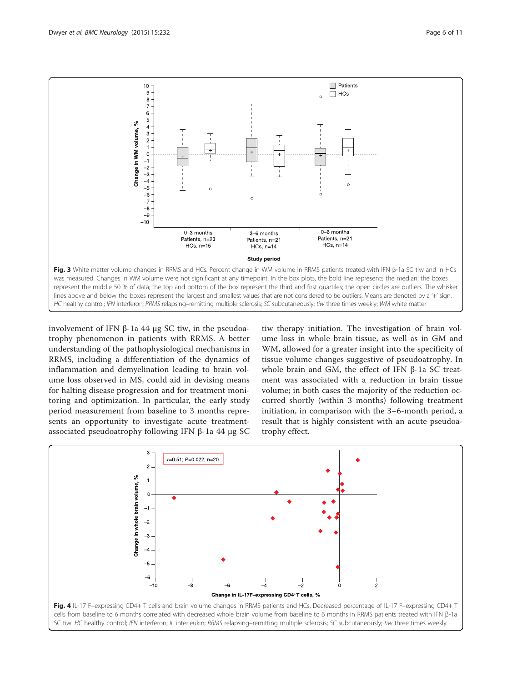<span id="page-5-0"></span>

involvement of IFN β-1a 44 μg SC tiw, in the pseudoatrophy phenomenon in patients with RRMS. A better understanding of the pathophysiological mechanisms in RRMS, including a differentiation of the dynamics of inflammation and demyelination leading to brain volume loss observed in MS, could aid in devising means for halting disease progression and for treatment monitoring and optimization. In particular, the early study period measurement from baseline to 3 months represents an opportunity to investigate acute treatmentassociated pseudoatrophy following IFN β-1a 44 μg SC

tiw therapy initiation. The investigation of brain volume loss in whole brain tissue, as well as in GM and WM, allowed for a greater insight into the specificity of tissue volume changes suggestive of pseudoatrophy. In whole brain and GM, the effect of IFN β-1a SC treatment was associated with a reduction in brain tissue volume; in both cases the majority of the reduction occurred shortly (within 3 months) following treatment initiation, in comparison with the 3–6-month period, a result that is highly consistent with an acute pseudoatrophy effect.

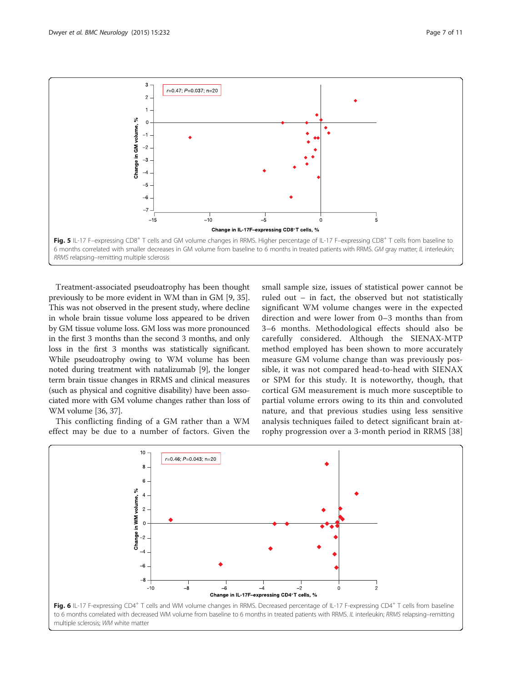<span id="page-6-0"></span>

Treatment-associated pseudoatrophy has been thought previously to be more evident in WM than in GM [[9, 35](#page-9-0)]. This was not observed in the present study, where decline in whole brain tissue volume loss appeared to be driven by GM tissue volume loss. GM loss was more pronounced in the first 3 months than the second 3 months, and only loss in the first 3 months was statistically significant. While pseudoatrophy owing to WM volume has been noted during treatment with natalizumab [[9](#page-9-0)], the longer term brain tissue changes in RRMS and clinical measures (such as physical and cognitive disability) have been associated more with GM volume changes rather than loss of WM volume [\[36, 37](#page-9-0)].

This conflicting finding of a GM rather than a WM effect may be due to a number of factors. Given the

small sample size, issues of statistical power cannot be ruled out – in fact, the observed but not statistically significant WM volume changes were in the expected direction and were lower from 0–3 months than from 3–6 months. Methodological effects should also be carefully considered. Although the SIENAX-MTP method employed has been shown to more accurately measure GM volume change than was previously possible, it was not compared head-to-head with SIENAX or SPM for this study. It is noteworthy, though, that cortical GM measurement is much more susceptible to partial volume errors owing to its thin and convoluted nature, and that previous studies using less sensitive analysis techniques failed to detect significant brain atrophy progression over a 3-month period in RRMS [\[38](#page-9-0)]

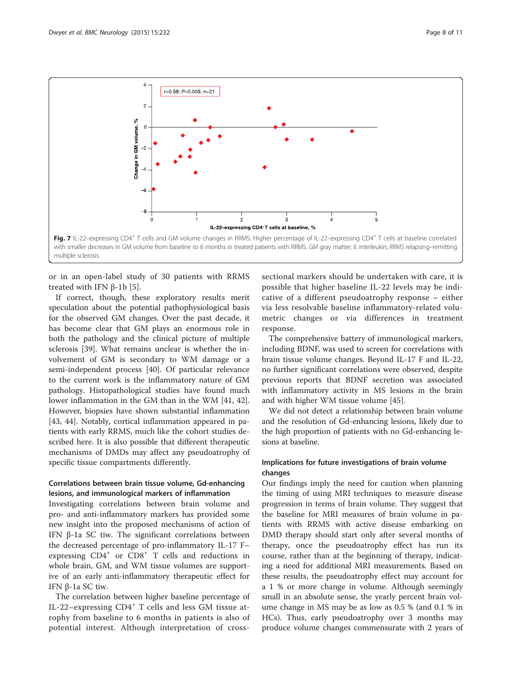<span id="page-7-0"></span>

or in an open-label study of 30 patients with RRMS treated with IFN  $β$ -1b [[5\]](#page-9-0).

If correct, though, these exploratory results merit speculation about the potential pathophysiological basis for the observed GM changes. Over the past decade, it has become clear that GM plays an enormous role in both the pathology and the clinical picture of multiple sclerosis [[39\]](#page-9-0). What remains unclear is whether the involvement of GM is secondary to WM damage or a semi-independent process [\[40\]](#page-9-0). Of particular relevance to the current work is the inflammatory nature of GM pathology. Histopathological studies have found much lower inflammation in the GM than in the WM [\[41](#page-9-0), [42](#page-9-0)]. However, biopsies have shown substantial inflammation [[43, 44](#page-9-0)]. Notably, cortical inflammation appeared in patients with early RRMS, much like the cohort studies described here. It is also possible that different therapeutic mechanisms of DMDs may affect any pseudoatrophy of specific tissue compartments differently.

## Correlations between brain tissue volume, Gd-enhancing lesions, and immunological markers of inflammation

Investigating correlations between brain volume and pro- and anti-inflammatory markers has provided some new insight into the proposed mechanisms of action of IFN β-1a SC tiw. The significant correlations between the decreased percentage of pro-inflammatory IL-17 F– expressing  $CD4^+$  or  $CD8^+$  T cells and reductions in whole brain, GM, and WM tissue volumes are supportive of an early anti-inflammatory therapeutic effect for IFN β-1a SC tiw.

The correlation between higher baseline percentage of IL-22–expressing  $CD4^+$  T cells and less GM tissue atrophy from baseline to 6 months in patients is also of potential interest. Although interpretation of cross-

sectional markers should be undertaken with care, it is possible that higher baseline IL-22 levels may be indicative of a different pseudoatrophy response – either via less resolvable baseline inflammatory-related volumetric changes or via differences in treatment response.

The comprehensive battery of immunological markers, including BDNF, was used to screen for correlations with brain tissue volume changes. Beyond IL-17 F and IL-22, no further significant correlations were observed, despite previous reports that BDNF secretion was associated with inflammatory activity in MS lesions in the brain and with higher WM tissue volume [[45](#page-9-0)].

We did not detect a relationship between brain volume and the resolution of Gd-enhancing lesions, likely due to the high proportion of patients with no Gd-enhancing lesions at baseline.

## Implications for future investigations of brain volume changes

Our findings imply the need for caution when planning the timing of using MRI techniques to measure disease progression in terms of brain volume. They suggest that the baseline for MRI measures of brain volume in patients with RRMS with active disease embarking on DMD therapy should start only after several months of therapy, once the pseudoatrophy effect has run its course, rather than at the beginning of therapy, indicating a need for additional MRI measurements. Based on these results, the pseudoatrophy effect may account for a 1 % or more change in volume. Although seemingly small in an absolute sense, the yearly percent brain volume change in MS may be as low as 0.5 % (and 0.1 % in HCs). Thus, early pseudoatrophy over 3 months may produce volume changes commensurate with 2 years of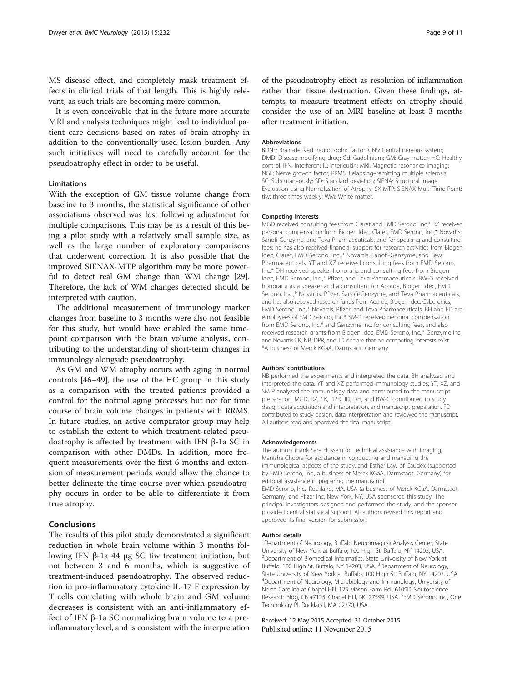MS disease effect, and completely mask treatment effects in clinical trials of that length. This is highly relevant, as such trials are becoming more common.

It is even conceivable that in the future more accurate MRI and analysis techniques might lead to individual patient care decisions based on rates of brain atrophy in addition to the conventionally used lesion burden. Any such initiatives will need to carefully account for the pseudoatrophy effect in order to be useful.

## Limitations

With the exception of GM tissue volume change from baseline to 3 months, the statistical significance of other associations observed was lost following adjustment for multiple comparisons. This may be as a result of this being a pilot study with a relatively small sample size, as well as the large number of exploratory comparisons that underwent correction. It is also possible that the improved SIENAX-MTP algorithm may be more powerful to detect real GM change than WM change [\[29](#page-9-0)]. Therefore, the lack of WM changes detected should be interpreted with caution.

The additional measurement of immunology marker changes from baseline to 3 months were also not feasible for this study, but would have enabled the same timepoint comparison with the brain volume analysis, contributing to the understanding of short-term changes in immunology alongside pseudoatrophy.

As GM and WM atrophy occurs with aging in normal controls [[46](#page-10-0)–[49](#page-10-0)], the use of the HC group in this study as a comparison with the treated patients provided a control for the normal aging processes but not for time course of brain volume changes in patients with RRMS. In future studies, an active comparator group may help to establish the extent to which treatment-related pseudoatrophy is affected by treatment with IFN β-1a SC in comparison with other DMDs. In addition, more frequent measurements over the first 6 months and extension of measurement periods would allow the chance to better delineate the time course over which pseudoatrophy occurs in order to be able to differentiate it from true atrophy.

## Conclusions

The results of this pilot study demonstrated a significant reduction in whole brain volume within 3 months following IFN β-1a 44 μg SC tiw treatment initiation, but not between 3 and 6 months, which is suggestive of treatment-induced pseudoatrophy. The observed reduction in pro-inflammatory cytokine IL-17 F expression by T cells correlating with whole brain and GM volume decreases is consistent with an anti-inflammatory effect of IFN β-1a SC normalizing brain volume to a preinflammatory level, and is consistent with the interpretation

of the pseudoatrophy effect as resolution of inflammation rather than tissue destruction. Given these findings, attempts to measure treatment effects on atrophy should consider the use of an MRI baseline at least 3 months after treatment initiation.

#### **Abbreviations**

BDNF: Brain-derived neurotrophic factor; CNS: Central nervous system; DMD: Disease-modifying drug; Gd: Gadolinium; GM: Gray matter; HC: Healthy control; IFN: Interferon; IL: Interleukin; MRI: Magnetic resonance imaging; NGF: Nerve growth factor; RRMS: Relapsing–remitting multiple sclerosis; SC: Subcutaneously; SD: Standard deviation; SIENA: Structural Image Evaluation using Normalization of Atrophy; SX-MTP: SIENAX Multi Time Point; tiw: three times weekly; WM: White matter.

#### Competing interests

MGD received consulting fees from Claret and EMD Serono, Inc.\* RZ received personal compensation from Biogen Idec, Claret, EMD Serono, Inc.,\* Novartis, Sanofi-Genzyme, and Teva Pharmaceuticals, and for speaking and consulting fees; he has also received financial support for research activities from Biogen Idec, Claret, EMD Serono, Inc.,\* Novartis, Sanofi-Genzyme, and Teva Pharmaceuticals. YT and XZ received consulting fees from EMD Serono, Inc.\* DH received speaker honoraria and consulting fees from Biogen Idec, EMD Serono, Inc.,\* Pfizer, and Teva Pharmaceuticals. BW-G received honoraria as a speaker and a consultant for Acorda, Biogen Idec, EMD Serono, Inc.,\* Novartis, Pfizer, Sanofi-Genzyme, and Teva Pharmaceuticals, and has also received research funds from Acorda, Biogen Idec, Cyberonics, EMD Serono, Inc.,\* Novartis, Pfizer, and Teva Pharmaceuticals. BH and FD are employees of EMD Serono, Inc.\* SM-P received personal compensation from EMD Serono, Inc.\* and Genzyme Inc. for consulting fees, and also received research grants from Biogen Idec, EMD Serono, Inc.,\* Genzyme Inc., and Novartis.CK, NB, DPR, and JD declare that no competing interests exist. \*A business of Merck KGaA, Darmstadt, Germany.

#### Authors' contributions

NB performed the experiments and interpreted the data. BH analyzed and interpreted the data. YT and XZ performed immunology studies; YT, XZ, and SM-P analyzed the immunology data and contributed to the manuscript preparation. MGD, RZ, CK, DPR, JD, DH, and BW-G contributed to study design, data acquisition and interpretation, and manuscript preparation. FD contributed to study design, data interpretation and reviewed the manuscript. All authors read and approved the final manuscript.

#### Acknowledgements

The authors thank Sara Hussein for technical assistance with imaging, Manisha Chopra for assistance in conducting and managing the immunological aspects of the study, and Esther Law of Caudex (supported by EMD Serono, Inc., a business of Merck KGaA, Darmstadt, Germany) for editorial assistance in preparing the manuscript. EMD Serono, Inc., Rockland, MA, USA (a business of Merck KGaA, Darmstadt, Germany) and Pfizer Inc, New York, NY, USA sponsored this study. The principal investigators designed and performed the study, and the sponsor provided central statistical support. All authors revised this report and approved its final version for submission.

#### Author details

<sup>1</sup>Department of Neurology, Buffalo Neuroimaging Analysis Center, State University of New York at Buffalo, 100 High St, Buffalo, NY 14203, USA. 2 Department of Biomedical Informatics, State University of New York at Buffalo, 100 High St, Buffalo, NY 14203, USA. <sup>3</sup>Department of Neurology, State University of New York at Buffalo, 100 High St, Buffalo, NY 14203, USA. 4 Department of Neurology, Microbiology and Immunology, University of North Carolina at Chapel Hill, 125 Mason Farm Rd., 6109D Neuroscience Research Bldg, CB #7125, Chapel Hill, NC 27599, USA. <sup>5</sup>EMD Serono, Inc., One Technology Pl, Rockland, MA 02370, USA.

Received: 12 May 2015 Accepted: 31 October 2015 Published online: 11 November 2015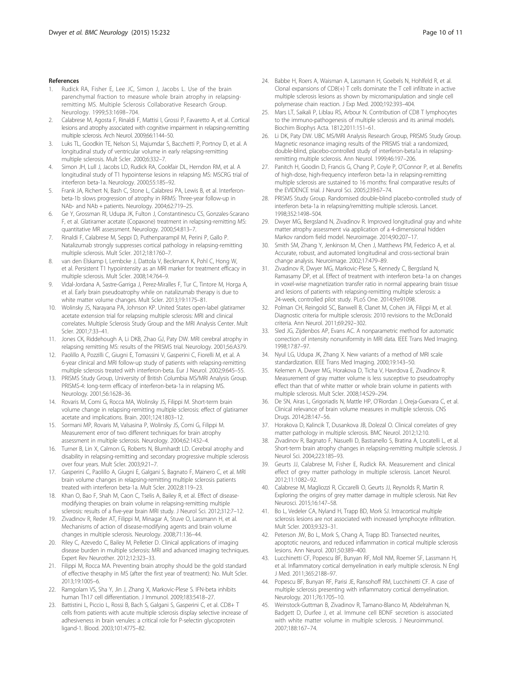- <span id="page-9-0"></span>Rudick RA, Fisher E, Lee JC, Simon J, Jacobs L, Use of the brain parenchymal fraction to measure whole brain atrophy in relapsingremitting MS. Multiple Sclerosis Collaborative Research Group. Neurology. 1999;53:1698–704.
- 2. Calabrese M, Agosta F, Rinaldi F, Mattisi I, Grossi P, Favaretto A, et al. Cortical lesions and atrophy associated with cognitive impairment in relapsing-remitting multiple sclerosis. Arch Neurol. 2009;66:1144–50.
- 3. Luks TL, Goodkin TE, Nelson SJ, Majumdar S, Bacchetti P, Portnoy D, et al. A longitudinal study of ventricular volume in early relapsing-remitting multiple sclerosis. Mult Scler. 2000;6:332–7.
- Simon JH, Lull J, Jacobs LD, Rudick RA, Cookfair DL, Herndon RM, et al. A longitudinal study of T1 hypointense lesions in relapsing MS: MSCRG trial of interferon beta-1a. Neurology. 2000;55:185–92.
- 5. Frank JA, Richert N, Bash C, Stone L, Calabresi PA, Lewis B, et al. Interferonbeta-1b slows progression of atrophy in RRMS: Three-year follow-up in NAb- and NAb + patients. Neurology. 2004;62:719–25.
- 6. Ge Y, Grossman RI, Udupa JK, Fulton J, Constantinescu CS, Gonzales-Scarano F, et al. Glatiramer acetate (Copaxone) treatment in relapsing-remitting MS: quantitative MR assessment. Neurology. 2000;54:813–7.
- 7. Rinaldi F, Calabrese M, Seppi D, Puthenparampil M, Perini P, Gallo P. Natalizumab strongly suppresses cortical pathology in relapsing-remitting multiple sclerosis. Mult Scler. 2012;18:1760–7.
- 8. van den Elskamp I, Lembcke J, Dattola V, Beckmann K, Pohl C, Hong W, et al. Persistent T1 hypointensity as an MRI marker for treatment efficacy in multiple sclerosis. Mult Scler. 2008;14:764–9.
- 9. Vidal-Jordana A, Sastre-Garriga J, Perez-Miralles F, Tur C, Tintore M, Horga A, et al. Early brain pseudoatrophy while on natalizumab therapy is due to white matter volume changes. Mult Scler. 2013;19:1175–81.
- 10. Wolinsky JS, Narayana PA, Johnson KP. United States open-label glatiramer acetate extension trial for relapsing multiple sclerosis: MRI and clinical correlates. Multiple Sclerosis Study Group and the MRI Analysis Center. Mult Scler. 2001;7:33–41.
- 11. Jones CK, Riddehough A, Li DKB, Zhao GJ, Paty DW. MRI cerebral atrophy in relapsing remitting MS: results of the PRISMS trial. Neurology. 2001;56:A379.
- 12. Paolillo A, Pozzilli C, Giugni E, Tomassini V, Gasperini C, Fiorelli M, et al. A 6-year clinical and MRI follow-up study of patients with relapsing-remitting multiple sclerosis treated with interferon-beta. Eur J Neurol. 2002;9:645–55.
- 13. PRISMS Study Group, University of British Columbia MS/MRI Analysis Group. PRISMS-4: long-term efficacy of interferon-beta-1a in relapsing MS. Neurology. 2001;56:1628–36.
- 14. Rovaris M, Comi G, Rocca MA, Wolinsky JS, Filippi M. Short-term brain volume change in relapsing-remitting multiple sclerosis: effect of glatiramer acetate and implications. Brain. 2001;124:1803–12.
- 15. Sormani MP, Rovaris M, Valsasina P, Wolinsky JS, Comi G, Filippi M. Measurement error of two different techniques for brain atrophy assessment in multiple sclerosis. Neurology. 2004;62:1432–4.
- 16. Turner B, Lin X, Calmon G, Roberts N, Blumhardt LD. Cerebral atrophy and disability in relapsing-remitting and secondary progressive multiple sclerosis over four years. Mult Scler. 2003;9:21–7.
- 17. Gasperini C, Paolillo A, Giugni E, Galgani S, Bagnato F, Mainero C, et al. MRI brain volume changes in relapsing-remitting multiple sclerosis patients treated with interferon beta-1a. Mult Scler. 2002;8:119–23.
- 18. Khan O, Bao F, Shah M, Caon C, Tselis A, Bailey R, et al. Effect of diseasemodifying therapies on brain volume in relapsing-remitting multiple sclerosis: results of a five-year brain MRI study. J Neurol Sci. 2012;312:7–12.
- 19. Zivadinov R, Reder AT, Filippi M, Minagar A, Stuve O, Lassmann H, et al. Mechanisms of action of disease-modifying agents and brain volume changes in multiple sclerosis. Neurology. 2008;71:136–44.
- 20. Riley C, Azevedo C, Bailey M, Pelletier D. Clinical applications of imaging disease burden in multiple sclerosis: MRI and advanced imaging techniques. Expert Rev Neurother. 2012;12:323–33.
- 21. Filippi M, Rocca MA. Preventing brain atrophy should be the gold standard of effective theraphy in MS (after the first year of treatment): No. Mult Scler. 2013;19:1005–6.
- 22. Ramgolam VS, Sha Y, Jin J, Zhang X, Markovic-Plese S. IFN-beta inhibits human Th17 cell differentiation. J Immunol. 2009;183:5418–27.
- 23. Battistini L, Piccio L, Rossi B, Bach S, Galgani S, Gasperini C, et al. CD8+ T cells from patients with acute multiple sclerosis display selective increase of adhesiveness in brain venules: a critical role for P-selectin glycoprotein ligand-1. Blood. 2003;101:4775–82.
- 24. Babbe H, Roers A, Waisman A, Lassmann H, Goebels N, Hohlfeld R, et al. Clonal expansions of CD8(+) T cells dominate the T cell infiltrate in active multiple sclerosis lesions as shown by micromanipulation and single cell polymerase chain reaction. J Exp Med. 2000;192:393–404.
- 25. Mars LT, Saikali P, Liblau RS, Arbour N. Contribution of CD8 T lymphocytes to the immuno-pathogenesis of multiple sclerosis and its animal models. Biochim Biophys Acta. 1812;2011:151–61.
- 26. Li DK, Paty DW. UBC MS/MRI Analysis Research Group, PRISMS Study Group. Magnetic resonance imaging results of the PRISMS trial: a randomized, double-blind, placebo-controlled study of interferon-beta1a in relapsingremitting multiple sclerosis. Ann Neurol. 1999;46:197–206.
- 27. Panitch H, Goodin D, Francis G, Chang P, Coyle P, O'Connor P, et al. Benefits of high-dose, high-frequency interferon beta-1a in relapsing-remitting multiple sclerosis are sustained to 16 months: final comparative results of the EVIDENCE trial. J Neurol Sci. 2005;239:67–74.
- 28. PRISMS Study Group. Randomised double-blind placebo-controlled study of interferon beta-1a in relapsing/remitting multiple sclerosis. Lancet. 1998;352:1498–504.
- 29. Dwyer MG, Bergsland N, Zivadinov R. Improved longitudinal gray and white matter atrophy assessment via application of a 4-dimensional hidden Markov random field model. Neuroimage. 2014;90:207–17.
- Smith SM, Zhang Y, Jenkinson M, Chen J, Matthews PM, Federico A, et al. Accurate, robust, and automated longitudinal and cross-sectional brain change analysis. Neuroimage. 2002;17:479–89.
- 31. Zivadinov R, Dwyer MG, Markovic-Plese S, Kennedy C, Bergsland N, Ramasamy DP, et al. Effect of treatment with interferon beta-1a on changes in voxel-wise magnetization transfer ratio in normal appearing brain tissue and lesions of patients with relapsing-remitting multiple sclerosis: a 24-week, controlled pilot study. PLoS One. 2014;9:e91098.
- 32. Polman CH, Reingold SC, Banwell B, Clanet M, Cohen JA, Filippi M, et al. Diagnostic criteria for multiple sclerosis: 2010 revisions to the McDonald criteria. Ann Neurol. 2011;69:292–302.
- 33. Sled JG, Zijdenbos AP, Evans AC. A nonparametric method for automatic correction of intensity nonuniformity in MRI data. IEEE Trans Med Imaging. 1998;17:87–97.
- 34. Nyul LG, Udupa JK, Zhang X. New variants of a method of MRI scale standardization. IEEE Trans Med Imaging. 2000;19:143–50.
- 35. Kelemen A, Dwyer MG, Horakova D, Ticha V, Havrdova E, Zivadinov R. Measurement of gray matter volume is less susceptive to pseudoatrophy effect than that of white matter or whole brain volume in patients with multiple sclerosis. Mult Scler. 2008;14:S29–294.
- 36. De SN, Airas L, Grigoriadis N, Mattle HP, O'Riordan J, Oreja-Guevara C, et al. Clinical relevance of brain volume measures in multiple sclerosis. CNS Drugs. 2014;28:147–56.
- 37. Horakova D, Kalincik T, Dusankova JB, Dolezal O. Clinical correlates of grey matter pathology in multiple sclerosis. BMC Neurol. 2012;12:10.
- 38. Zivadinov R, Bagnato F, Nasuelli D, Bastianello S, Bratina A, Locatelli L, et al. Short-term brain atrophy changes in relapsing-remitting multiple sclerosis. J Neurol Sci. 2004;223:185–93.
- 39. Geurts JJ, Calabrese M, Fisher E, Rudick RA. Measurement and clinical effect of grey matter pathology in multiple sclerosis. Lancet Neurol. 2012;11:1082–92.
- 40. Calabrese M, Magliozzi R, Ciccarelli O, Geurts JJ, Reynolds R, Martin R. Exploring the origins of grey matter damage in multiple sclerosis. Nat Rev Neurosci. 2015;16:147–58.
- 41. Bo L, Vedeler CA, Nyland H, Trapp BD, Mork SJ. Intracortical multiple sclerosis lesions are not associated with increased lymphocyte infiltration. Mult Scler. 2003;9:323–31.
- 42. Peterson JW, Bo L, Mork S, Chang A, Trapp BD. Transected neurites, apoptotic neurons, and reduced inflammation in cortical multiple sclerosis lesions. Ann Neurol. 2001;50:389–400.
- 43. Lucchinetti CF, Popescu BF, Bunyan RF, Moll NM, Roemer SF, Lassmann H, et al. Inflammatory cortical demyelination in early multiple sclerosis. N Engl J Med. 2011;365:2188–97.
- 44. Popescu BF, Bunyan RF, Parisi JE, Ransohoff RM, Lucchinetti CF. A case of multiple sclerosis presenting with inflammatory cortical demyelination. Neurology. 2011;76:1705–10.
- 45. Weinstock-Guttman B, Zivadinov R, Tamano-Blanco M, Abdelrahman N, Badgett D, Durfee J, et al. Immune cell BDNF secretion is associated with white matter volume in multiple sclerosis. J Neuroimmunol. 2007;188:167–74.